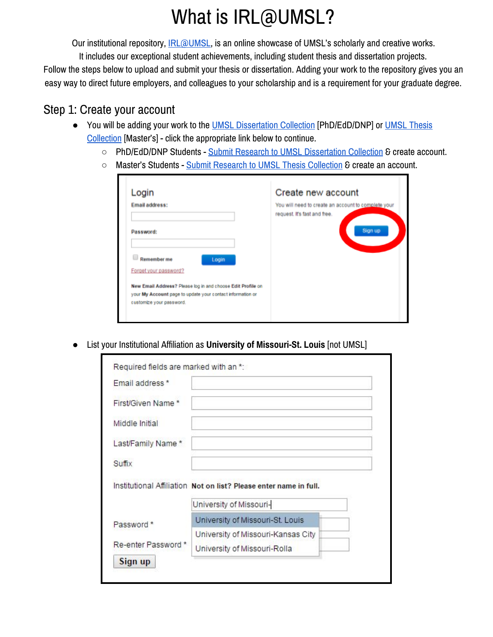# What is IRL@UMSL?

Our institutional repository, **IRL@UMSL**, is an online showcase of UMSL's scholarly and creative works.

It includes our exceptional student achievements, including student thesis and dissertation projects. Follow the steps below to upload and submit your thesis or dissertation. Adding your work to the repository gives you an easy way to direct future employers, and colleagues to your scholarship and is a requirement for your graduate degree.

# Step 1: Create your account

- You will be adding your work to the [UMSL Dissertation Collection](http://irl.umsl.edu/dissertation/) [PhD/EdD/DNP] or [UMSL Thesis](http://irl.umsl.edu/thesis/) [Collection](http://irl.umsl.edu/thesis/) [Master's] - click the appropriate link below to continue.
	- PhD/EdD/DNP Students [Submit Research to UMSL Dissertation Collection](http://irl.umsl.edu/cgi/ir_submit.cgi?context=dissertation) & create account.
	- Master's Students - [Submit Research to UMSL Thesis Collection](http://irl.umsl.edu/cgi/ir_submit.cgi?context=thesis&edbypass=1) & create an account.

| Login                                                       | Create new account                                                                  |
|-------------------------------------------------------------|-------------------------------------------------------------------------------------|
| <b>Email address:</b>                                       | You will need to create an account to complete your<br>request. It's fast and free. |
| Password:                                                   | Sign up                                                                             |
| Remember me<br>Login                                        |                                                                                     |
| Forget your password?                                       |                                                                                     |
| New Email Address? Please log in and choose Edit Profile on |                                                                                     |
| your My Account page to update your contact information or  |                                                                                     |
| customize your password.                                    |                                                                                     |

● List your Institutional Affiliation as **University of Missouri-St. Louis** [not UMSL]

| Email address *   |                                                                   |  |
|-------------------|-------------------------------------------------------------------|--|
| First/Given Name* |                                                                   |  |
| Middle Initial    |                                                                   |  |
| Last/Family Name* |                                                                   |  |
|                   |                                                                   |  |
| Suffix            |                                                                   |  |
|                   | Institutional Affiliation Not on list? Please enter name in full. |  |
|                   | University of Missouri-                                           |  |
|                   | University of Missouri-St. Louis                                  |  |
| Password *        | University of Missouri-Kansas City                                |  |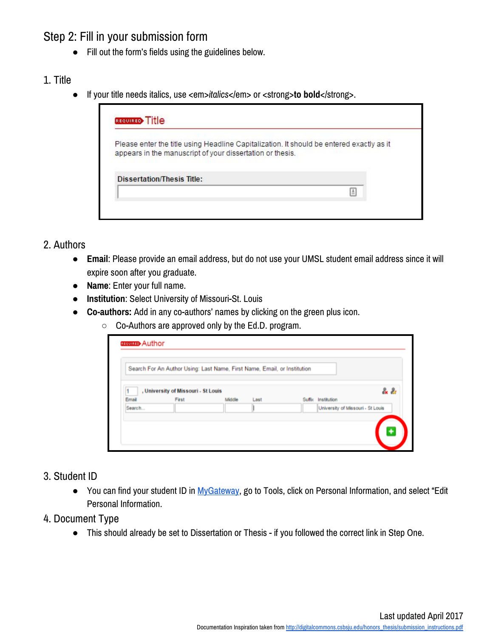# Step 2: Fill in your submission form

● Fill out the form's fields using the guidelines below.

#### 1. Title

● If your title needs italics, use <em>*italics</em>* or <strong>to bold</strong>.

| <b>REQUIRED</b> Title                                     |                                                                                          |
|-----------------------------------------------------------|------------------------------------------------------------------------------------------|
| appears in the manuscript of your dissertation or thesis. | Please enter the title using Headline Capitalization. It should be entered exactly as it |
| <b>Dissertation/Thesis Title:</b>                         |                                                                                          |
|                                                           |                                                                                          |

## 2. Authors

- **Email**: Please provide an email address, but do not use your UMSL student email address since it will expire soon after you graduate.
- **Name**: Enter your full name.
- **Institution**: Select University of Missouri-St. Louis
- **Co-authors:** Add in any co-authors' names by clicking on the green plus icon.
	- Co-Authors are approved only by the Ed.D. program.

| , University of Missouri - St Louis<br>First<br>Email<br>Middle<br>Suffix Institution<br>Last |     |
|-----------------------------------------------------------------------------------------------|-----|
|                                                                                               | 2.2 |
|                                                                                               |     |
| Search<br>University of Missouri - St Louis                                                   |     |

#### 3. Student ID

● You can find your student ID in [MyGateway,](http://mygateway.umsl.edu/webapps/portal/frameset.jsp) go to Tools, click on Personal Information, and select "Edit Personal Information.

#### 4. Document Type

● This should already be set to Dissertation or Thesis - if you followed the correct link in Step One.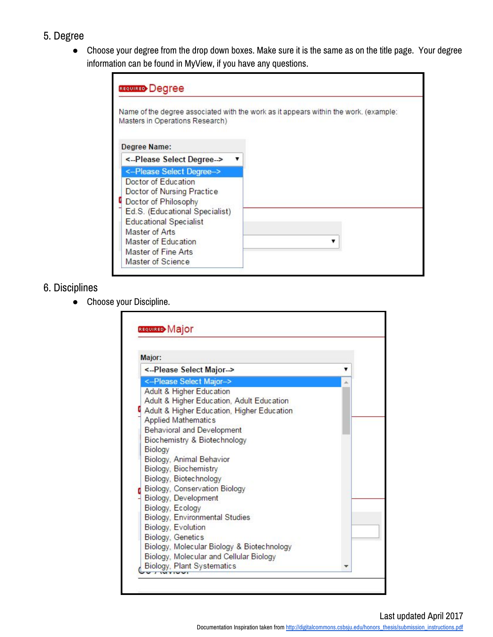# 5. Degree

● Choose your degree from the drop down boxes. Make sure it is the same as on the title page. Your degree information can be found in MyView, if you have any questions.

| <b>REQUIRED</b> Degree                                                                                                                       |                                                                                      |
|----------------------------------------------------------------------------------------------------------------------------------------------|--------------------------------------------------------------------------------------|
| Masters in Operations Research)                                                                                                              | Name of the degree associated with the work as it appears within the work. (example: |
| Degree Name:                                                                                                                                 |                                                                                      |
| <-Please Select Degree->                                                                                                                     |                                                                                      |
| <--Please Select Degree->                                                                                                                    |                                                                                      |
| Doctor of Education<br>Doctor of Nursing Practice<br>Doctor of Philosophy<br>Ed.S. (Educational Specialist)<br><b>Educational Specialist</b> |                                                                                      |
| Master of Arts                                                                                                                               |                                                                                      |
| Master of Education                                                                                                                          |                                                                                      |
| Master of Fine Arts                                                                                                                          |                                                                                      |
| Master of Science                                                                                                                            |                                                                                      |

# 6. Disciplines

● Choose your Discipline.

| <--Please Select Major--><br><- Please Select Major-><br>Adult & Higher Education                                                                                                                                                                                                                                                                                                                                                                                                                                                                                            |  |
|------------------------------------------------------------------------------------------------------------------------------------------------------------------------------------------------------------------------------------------------------------------------------------------------------------------------------------------------------------------------------------------------------------------------------------------------------------------------------------------------------------------------------------------------------------------------------|--|
|                                                                                                                                                                                                                                                                                                                                                                                                                                                                                                                                                                              |  |
|                                                                                                                                                                                                                                                                                                                                                                                                                                                                                                                                                                              |  |
| Adult & Higher Education, Adult Education<br>Adult & Higher Education, Higher Education<br><b>Applied Mathematics</b><br><b>Behavioral and Development</b><br>Biochemistry & Biotechnology<br>Biology<br>Biology, Animal Behavior<br>Biology, Biochemistry<br>Biology, Biotechnology<br>Biology, Conservation Biology<br>Biology, Development<br>Biology, Ecology<br>Biology, Environmental Studies<br>Biology, Evolution<br><b>Biology, Genetics</b><br>Biology, Molecular Biology & Biotechnology<br>Biology, Molecular and Cellular Biology<br>Biology, Plant Systematics |  |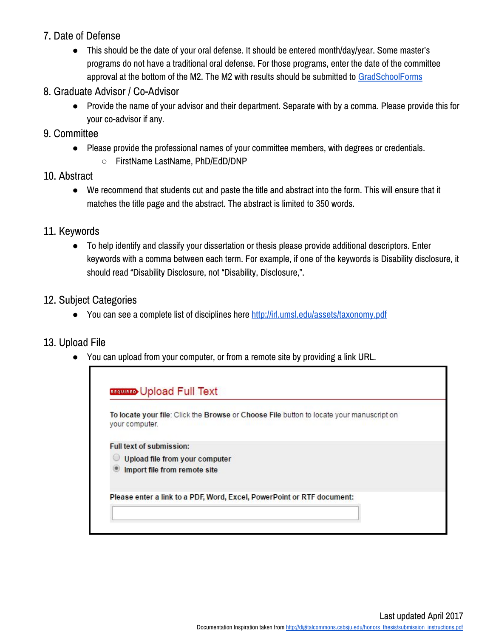# 7. Date of Defense

● This should be the date of your oral defense. It should be entered month/day/year. Some master's programs do not have a traditional oral defense. For those programs, enter the date of the committee approval at the bottom of the M2. The M2 with results should be submitted to [GradSchoolForms](mailto:GradSchoolForms@umsl.edu)

## 8. Graduate Advisor / Co-Advisor

● Provide the name of your advisor and their department. Separate with by a comma. Please provide this for your co-advisor if any.

## 9. Committee

- Please provide the professional names of your committee members, with degrees or credentials.
	- FirstName LastName, PhD/EdD/DNP

# 10. Abstract

● We recommend that students cut and paste the title and abstract into the form. This will ensure that it matches the title page and the abstract. The abstract is limited to 350 words.

# 11. Keywords

To help identify and classify your dissertation or thesis please provide additional descriptors. Enter keywords with a comma between each term. For example, if one of the keywords is Disability disclosure, it should read "Disability Disclosure, not "Disability, Disclosure,".

# 12. Subject Categories

● You can see a complete list of disciplines here<http://irl.umsl.edu/assets/taxonomy.pdf>

# 13. Upload File

● You can upload from your computer, or from a remote site by providing a link URL.

| your computer.                  | To locate your file: Click the Browse or Choose File button to locate your manuscript on |
|---------------------------------|------------------------------------------------------------------------------------------|
| <b>Full text of submission:</b> |                                                                                          |
|                                 | Upload file from your computer                                                           |
|                                 | Import file from remote site                                                             |
|                                 | Please enter a link to a PDF, Word, Excel, PowerPoint or RTF document:                   |